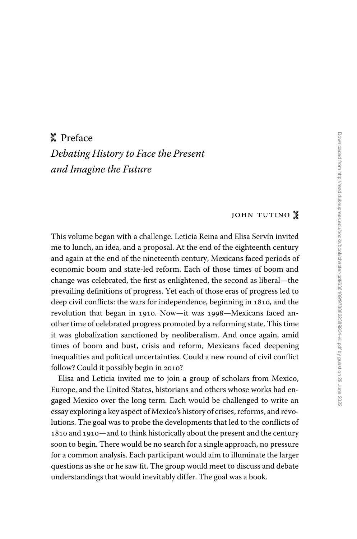## M Preface *Debating History to Face the Present and Imagine the Future*

## JOHN TUTINO  $\frac{1}{6}$

This volume began with a challenge. Leticia Reina and Elisa Servín invited me to lunch, an idea, and a proposal. At the end of the eighteenth century and again at the end of the nineteenth century, Mexicans faced periods of economic boom and state-led reform. Each of those times of boom and change was celebrated, the first as enlightened, the second as liberal—the prevailing definitions of progress. Yet each of those eras of progress led to deep civil conflicts: the wars for independence, beginning in 1810, and the revolution that began in 1910. Now—it was 1998—Mexicans faced another time of celebrated progress promoted by a reforming state. This time it was globalization sanctioned by neoliberalism. And once again, amid times of boom and bust, crisis and reform, Mexicans faced deepening inequalities and political uncertainties. Could a new round of civil conflict follow? Could it possibly begin in 2010?

Elisa and Leticia invited me to join a group of scholars from Mexico, Europe, and the United States, historians and others whose works had engaged Mexico over the long term. Each would be challenged to write an essay exploring a key aspect of Mexico's history of crises, reforms, and revolutions. The goal was to probe the developments that led to the conflicts of 1810 and 1910—and to think historically about the present and the century soon to begin. There would be no search for a single approach, no pressure for a common analysis. Each participant would aim to illuminate the larger questions as she or he saw fit. The group would meet to discuss and debate understandings that would inevitably differ. The goal was a book.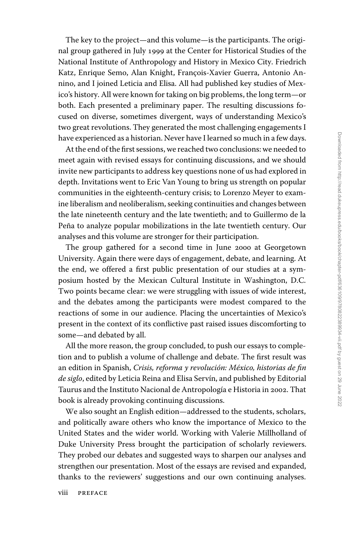The key to the project—and this volume—is the participants. The original group gathered in July 1999 at the Center for Historical Studies of the National Institute of Anthropology and History in Mexico City. Friedrich Katz, Enrique Semo, Alan Knight, François-Xavier Guerra, Antonio Annino, and I joined Leticia and Elisa. All had published key studies of Mexico's history. All were known for taking on big problems, the long term—or both. Each presented a preliminary paper. The resulting discussions focused on diverse, sometimes divergent, ways of understanding Mexico's two great revolutions. They generated the most challenging engagements I have experienced as a historian. Never have I learned so much in a few days.

At the end of the first sessions, we reached two conclusions: we needed to meet again with revised essays for continuing discussions, and we should invite new participants to address key questions none of us had explored in depth. Invitations went to Eric Van Young to bring us strength on popular communities in the eighteenth-century crisis; to Lorenzo Meyer to examine liberalism and neoliberalism, seeking continuities and changes between the late nineteenth century and the late twentieth; and to Guillermo de la Peña to analyze popular mobilizations in the late twentieth century. Our analyses and this volume are stronger for their participation.

The group gathered for a second time in June 2000 at Georgetown University. Again there were days of engagement, debate, and learning. At the end, we offered a first public presentation of our studies at a symposium hosted by the Mexican Cultural Institute in Washington, D.C. Two points became clear: we were struggling with issues of wide interest, and the debates among the participants were modest compared to the reactions of some in our audience. Placing the uncertainties of Mexico's present in the context of its conflictive past raised issues discomforting to some—and debated by all.

All the more reason, the group concluded, to push our essays to completion and to publish a volume of challenge and debate. The first result was an edition in Spanish, *Crisis, reforma y revolución: México, historias de fin de siglo*, edited by Leticia Reina and Elisa Servín, and published by Editorial Taurus and the Instituto Nacional de Antropología e Historia in 2002. That book is already provoking continuing discussions.

We also sought an English edition—addressed to the students, scholars, and politically aware others who know the importance of Mexico to the United States and the wider world. Working with Valerie Millholland of Duke University Press brought the participation of scholarly reviewers. They probed our debates and suggested ways to sharpen our analyses and strengthen our presentation. Most of the essays are revised and expanded, thanks to the reviewers' suggestions and our own continuing analyses.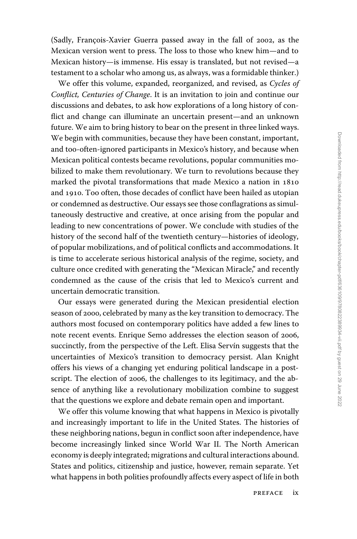(Sadly, François-Xavier Guerra passed away in the fall of 2002, as the Mexican version went to press. The loss to those who knew him—and to Mexican history—is immense. His essay is translated, but not revised—a testament to a scholar who among us, as always, was a formidable thinker.)

We offer this volume, expanded, reorganized, and revised, as *Cycles of Conflict, Centuries of Change*. It is an invitation to join and continue our discussions and debates, to ask how explorations of a long history of conflict and change can illuminate an uncertain present—and an unknown future. We aim to bring history to bear on the present in three linked ways. We begin with communities, because they have been constant, important, and too-often-ignored participants in Mexico's history, and because when Mexican political contests became revolutions, popular communities mobilized to make them revolutionary. We turn to revolutions because they marked the pivotal transformations that made Mexico a nation in 1810 and 1910. Too often, those decades of conflict have been hailed as utopian or condemned as destructive. Our essays see those conflagrations as simultaneously destructive and creative, at once arising from the popular and leading to new concentrations of power. We conclude with studies of the history of the second half of the twentieth century—histories of ideology, of popular mobilizations, and of political conflicts and accommodations. It is time to accelerate serious historical analysis of the regime, society, and culture once credited with generating the ''Mexican Miracle,'' and recently condemned as the cause of the crisis that led to Mexico's current and uncertain democratic transition.

Our essays were generated during the Mexican presidential election season of 2000, celebrated by many as the key transition to democracy. The authors most focused on contemporary politics have added a few lines to note recent events. Enrique Semo addresses the election season of 2006, succinctly, from the perspective of the Left. Elisa Servín suggests that the uncertainties of Mexico's transition to democracy persist. Alan Knight offers his views of a changing yet enduring political landscape in a postscript. The election of 2006, the challenges to its legitimacy, and the absence of anything like a revolutionary mobilization combine to suggest that the questions we explore and debate remain open and important.

We offer this volume knowing that what happens in Mexico is pivotally and increasingly important to life in the United States. The histories of these neighboring nations, begun in conflict soon after independence, have become increasingly linked since World War II. The North American economy is deeply integrated; migrations and cultural interactions abound. States and politics, citizenship and justice, however, remain separate. Yet what happens in both polities profoundly affects every aspect of life in both